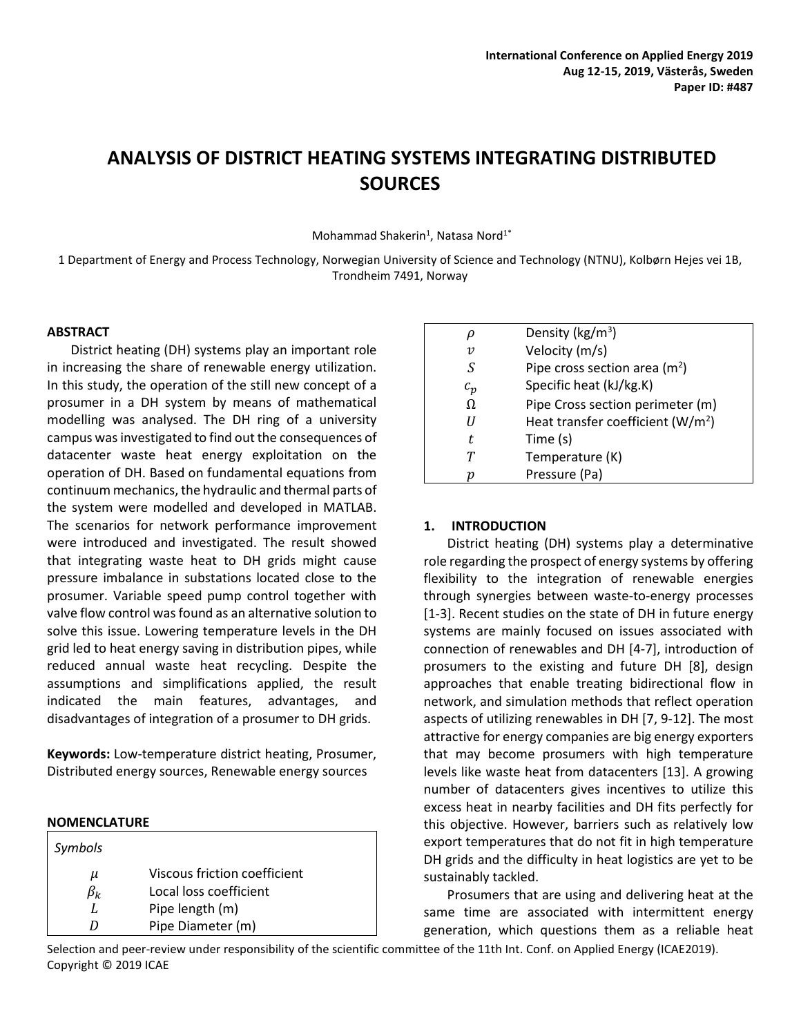# **ANALYSIS OF DISTRICT HEATING SYSTEMS INTEGRATING DISTRIBUTED SOURCES**

Mohammad Shakerin<sup>1</sup>, Natasa Nord<sup>1\*</sup>

1 Department of Energy and Process Technology, Norwegian University of Science and Technology (NTNU), Kolbørn Hejes vei 1B, Trondheim 7491, Norway

#### **ABSTRACT**

District heating (DH) systems play an important role in increasing the share of renewable energy utilization. In this study, the operation of the still new concept of a prosumer in a DH system by means of mathematical modelling was analysed. The DH ring of a university campus was investigated to find out the consequences of datacenter waste heat energy exploitation on the operation of DH. Based on fundamental equations from continuum mechanics, the hydraulic and thermal parts of the system were modelled and developed in MATLAB. The scenarios for network performance improvement were introduced and investigated. The result showed that integrating waste heat to DH grids might cause pressure imbalance in substations located close to the prosumer. Variable speed pump control together with valve flow control wasfound as an alternative solution to solve this issue. Lowering temperature levels in the DH grid led to heat energy saving in distribution pipes, while reduced annual waste heat recycling. Despite the assumptions and simplifications applied, the result indicated the main features, advantages, and disadvantages of integration of a prosumer to DH grids.

**Keywords:** Low-temperature district heating, Prosumer, Distributed energy sources, Renewable energy sources

#### **NOMENCLATURE**

| Symbols        |                                                        |
|----------------|--------------------------------------------------------|
| μ<br>$\beta_k$ | Viscous friction coefficient<br>Local loss coefficient |
|                | Pipe length (m)                                        |
| D              | Pipe Diameter (m)                                      |

|                           | Density ( $kg/m3$ )                   |
|---------------------------|---------------------------------------|
| $\boldsymbol{\mathit{v}}$ | Velocity (m/s)                        |
| S                         | Pipe cross section area $(m2)$        |
| $c_p$                     | Specific heat (kJ/kg.K)               |
| Ω                         | Pipe Cross section perimeter (m)      |
| H                         | Heat transfer coefficient ( $W/m^2$ ) |
| t.                        | Time (s)                              |
|                           | Temperature (K)                       |
| n                         | Pressure (Pa)                         |

## **1. INTRODUCTION**

District heating (DH) systems play a determinative role regarding the prospect of energy systems by offering flexibility to the integration of renewable energies through synergies between waste-to-energy processes [1-3]. Recent studies on the state of DH in future energy systems are mainly focused on issues associated with connection of renewables and DH [4-7], introduction of prosumers to the existing and future DH [8], design approaches that enable treating bidirectional flow in network, and simulation methods that reflect operation aspects of utilizing renewables in DH [7, 9-12]. The most attractive for energy companies are big energy exporters that may become prosumers with high temperature levels like waste heat from datacenters [13]. A growing number of datacenters gives incentives to utilize this excess heat in nearby facilities and DH fits perfectly for this objective. However, barriers such as relatively low export temperatures that do not fit in high temperature DH grids and the difficulty in heat logistics are yet to be sustainably tackled.

Prosumers that are using and delivering heat at the same time are associated with intermittent energy generation, which questions them as a reliable heat

Selection and peer-review under responsibility of the scientific committee of the 11th Int. Conf. on Applied Energy (ICAE2019). Copyright © 2019 ICAE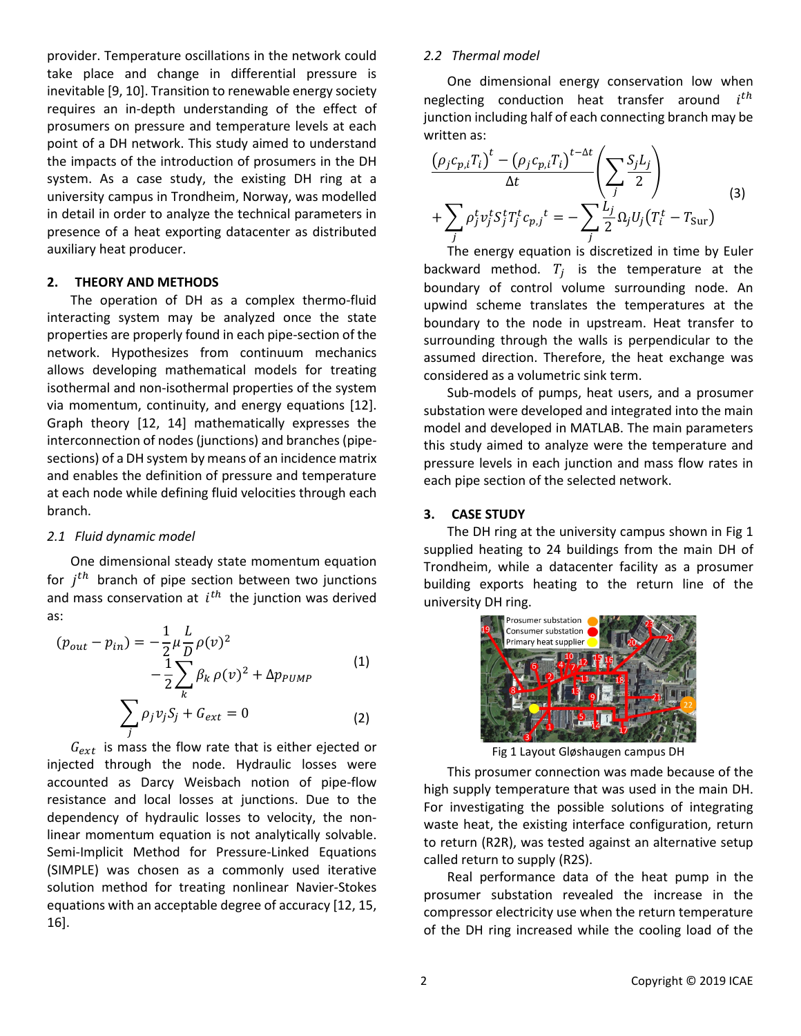provider. Temperature oscillations in the network could take place and change in differential pressure is inevitable [9, 10]. Transition to renewable energy society requires an in-depth understanding of the effect of prosumers on pressure and temperature levels at each point of a DH network. This study aimed to understand the impacts of the introduction of prosumers in the DH system. As a case study, the existing DH ring at a university campus in Trondheim, Norway, was modelled in detail in order to analyze the technical parameters in presence of a heat exporting datacenter as distributed auxiliary heat producer.

#### **2. THEORY AND METHODS**

The operation of DH as a complex thermo-fluid interacting system may be analyzed once the state properties are properly found in each pipe-section of the network. Hypothesizes from continuum mechanics allows developing mathematical models for treating isothermal and non-isothermal properties of the system via momentum, continuity, and energy equations [12]. Graph theory [12, 14] mathematically expresses the interconnection of nodes (junctions) and branches (pipesections) of a DH system by means of an incidence matrix and enables the definition of pressure and temperature at each node while defining fluid velocities through each branch.

## *2.1 Fluid dynamic model*

One dimensional steady state momentum equation for  $j<sup>th</sup>$  branch of pipe section between two junctions and mass conservation at  $i^{th}$  the junction was derived as:

$$
(p_{out} - p_{in}) = -\frac{1}{2} \mu \frac{L}{D} \rho(v)^{2}
$$

$$
-\frac{1}{2} \sum_{k} \beta_{k} \rho(v)^{2} + \Delta p_{PUMP}
$$

$$
\sum_{j} \rho_{j} v_{j} S_{j} + G_{ext} = 0
$$
(2)

 $G_{ext}$  is mass the flow rate that is either ejected or injected through the node. Hydraulic losses were accounted as Darcy Weisbach notion of pipe-flow resistance and local losses at junctions. Due to the dependency of hydraulic losses to velocity, the nonlinear momentum equation is not analytically solvable. Semi-Implicit Method for Pressure-Linked Equations (SIMPLE) was chosen as a commonly used iterative solution method for treating nonlinear Navier-Stokes equations with an acceptable degree of accuracy [12, 15, 16].

## *2.2 Thermal model*

One dimensional energy conservation low when neglecting conduction heat transfer around  $i^{th}$ junction including half of each connecting branch may be written as:

$$
\frac{\left(\rho_j c_{p,i} T_i\right)^t - \left(\rho_j c_{p,i} T_i\right)^{t-\Delta t}}{\Delta t} \left(\sum_j \frac{S_j L_j}{2}\right)
$$
\n
$$
+ \sum_j \rho_j^t v_j^t S_j^t T_j^t c_{p,j}^t = - \sum_j \frac{L_j}{2} \Omega_j U_j \left(T_i^t - T_{\text{Sur}}\right)
$$
\n(3)

The energy equation is discretized in time by Euler backward method.  $T_i$  is the temperature at the boundary of control volume surrounding node. An upwind scheme translates the temperatures at the boundary to the node in upstream. Heat transfer to surrounding through the walls is perpendicular to the assumed direction. Therefore, the heat exchange was considered as a volumetric sink term.

Sub-models of pumps, heat users, and a prosumer substation were developed and integrated into the main model and developed in MATLAB. The main parameters this study aimed to analyze were the temperature and pressure levels in each junction and mass flow rates in each pipe section of the selected network.

#### **3. CASE STUDY**

The DH ring at the university campus shown in [Fig 1](#page-1-0) supplied heating to 24 buildings from the main DH of Trondheim, while a datacenter facility as a prosumer building exports heating to the return line of the university DH ring.



Fig 1 Layout Gløshaugen campus DH

<span id="page-1-0"></span>This prosumer connection was made because of the high supply temperature that was used in the main DH. For investigating the possible solutions of integrating waste heat, the existing interface configuration, return to return (R2R), was tested against an alternative setup called return to supply (R2S).

Real performance data of the heat pump in the prosumer substation revealed the increase in the compressor electricity use when the return temperature of the DH ring increased while the cooling load of the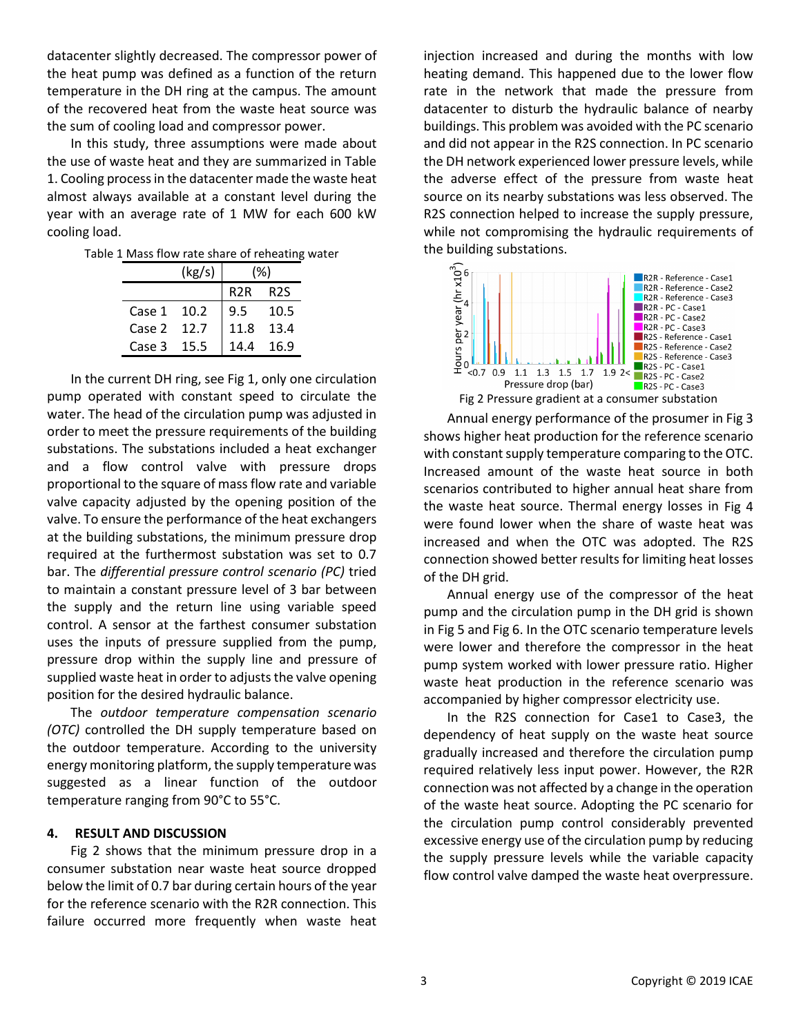datacenter slightly decreased. The compressor power of the heat pump was defined as a function of the return temperature in the DH ring at the campus. The amount of the recovered heat from the waste heat source was the sum of cooling load and compressor power.

In this study, three assumptions were made about the use of waste heat and they are summarized i[n Table](#page-2-0)  [1.](#page-2-0) Cooling process in the datacenter made the waste heat almost always available at a constant level during the year with an average rate of 1 MW for each 600 kW cooling load.

<span id="page-2-0"></span>Table 1 Mass flow rate share of reheating water

|        | (kg/s) | (%)              |                  |
|--------|--------|------------------|------------------|
|        |        | R <sub>2</sub> R | R <sub>2</sub> S |
| Case 1 | 10.2   | 9.5              | 10.5             |
| Case 2 | 12.7   | 11.8             | 13.4             |
| Case 3 | 15.5   | 14 4             | 16.9             |

In the current DH ring, see Fig 1, only one circulation pump operated with constant speed to circulate the water. The head of the circulation pump was adjusted in order to meet the pressure requirements of the building substations. The substations included a heat exchanger and a flow control valve with pressure drops proportional to the square of mass flow rate and variable valve capacity adjusted by the opening position of the valve. To ensure the performance of the heat exchangers at the building substations, the minimum pressure drop required at the furthermost substation was set to 0.7 bar. The *differential pressure control scenario (PC)* tried to maintain a constant pressure level of 3 bar between the supply and the return line using variable speed control. A sensor at the farthest consumer substation uses the inputs of pressure supplied from the pump, pressure drop within the supply line and pressure of supplied waste heat in order to adjusts the valve opening position for the desired hydraulic balance.

The *outdoor temperature compensation scenario (OTC)* controlled the DH supply temperature based on the outdoor temperature. According to the university energy monitoring platform, the supply temperature was suggested as a linear function of the outdoor temperature ranging from 90°C to 55°C.

# **4. RESULT AND DISCUSSION**

[Fig 2](#page-2-1) shows that the minimum pressure drop in a consumer substation near waste heat source dropped below the limit of 0.7 bar during certain hours of the year for the reference scenario with the R2R connection. This failure occurred more frequently when waste heat

injection increased and during the months with low heating demand. This happened due to the lower flow rate in the network that made the pressure from datacenter to disturb the hydraulic balance of nearby buildings. This problem was avoided with the PC scenario and did not appear in the R2S connection. In PC scenario the DH network experienced lower pressure levels, while the adverse effect of the pressure from waste heat source on its nearby substations was less observed. The R2S connection helped to increase the supply pressure, while not compromising the hydraulic requirements of



<span id="page-2-1"></span>Annual energy performance of the prosumer in [Fig 3](#page-3-0) shows higher heat production for the reference scenario with constant supply temperature comparing to the OTC. Increased amount of the waste heat source in both scenarios contributed to higher annual heat share from the waste heat source. Thermal energy losses in [Fig 4](#page-3-1) were found lower when the share of waste heat was increased and when the OTC was adopted. The R2S connection showed better results for limiting heat losses of the DH grid.

Annual energy use of the compressor of the heat pump and the circulation pump in the DH grid is shown in [Fig 5](#page-3-2) and [Fig 6.](#page-3-3) In the OTC scenario temperature levels were lower and therefore the compressor in the heat pump system worked with lower pressure ratio. Higher waste heat production in the reference scenario was accompanied by higher compressor electricity use.

In the R2S connection for Case1 to Case3, the dependency of heat supply on the waste heat source gradually increased and therefore the circulation pump required relatively less input power. However, the R2R connection was not affected by a change in the operation of the waste heat source. Adopting the PC scenario for the circulation pump control considerably prevented excessive energy use of the circulation pump by reducing the supply pressure levels while the variable capacity flow control valve damped the waste heat overpressure.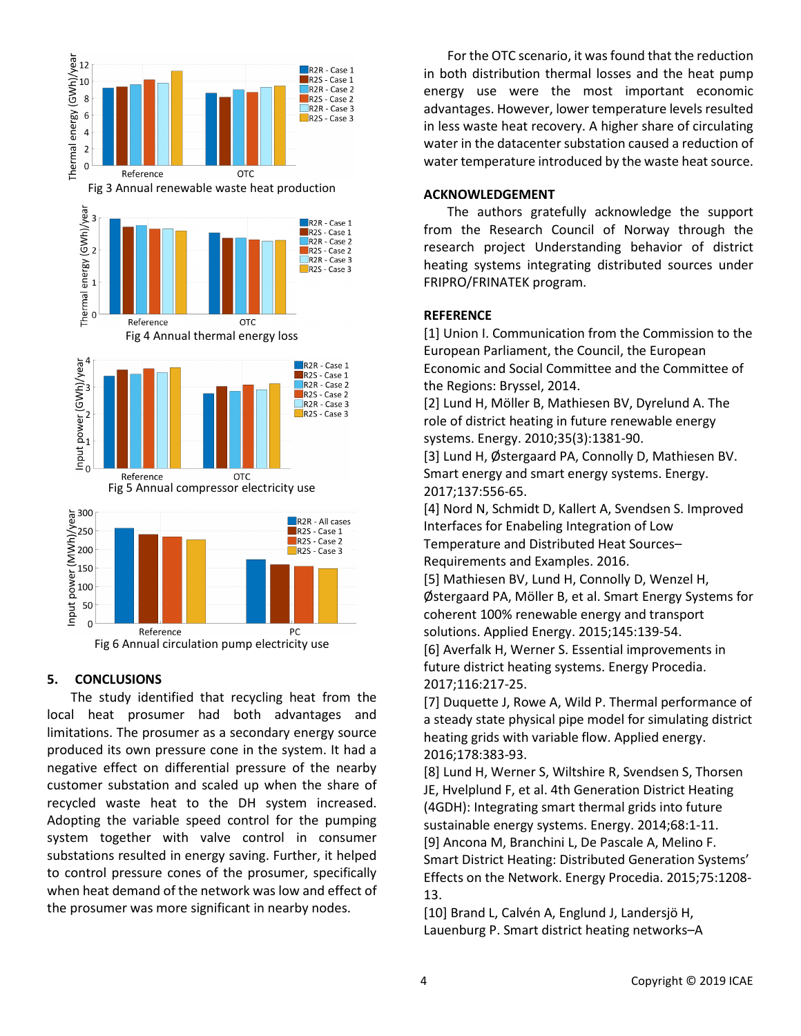<span id="page-3-1"></span><span id="page-3-0"></span>

# <span id="page-3-3"></span><span id="page-3-2"></span>**5. CONCLUSIONS**

The study identified that recycling heat from the local heat prosumer had both advantages and limitations. The prosumer as a secondary energy source produced its own pressure cone in the system. It had a negative effect on differential pressure of the nearby customer substation and scaled up when the share of recycled waste heat to the DH system increased. Adopting the variable speed control for the pumping system together with valve control in consumer substations resulted in energy saving. Further, it helped to control pressure cones of the prosumer, specifically when heat demand of the network was low and effect of the prosumer was more significant in nearby nodes.

For the OTC scenario, it was found that the reduction in both distribution thermal losses and the heat pump energy use were the most important economic advantages. However, lower temperature levels resulted in less waste heat recovery. A higher share of circulating water in the datacenter substation caused a reduction of water temperature introduced by the waste heat source.

## **ACKNOWLEDGEMENT**

The authors gratefully acknowledge the support from the Research Council of Norway through the research project Understanding behavior of district heating systems integrating distributed sources under FRIPRO/FRINATEK program.

# **REFERENCE**

[1] Union I. Communication from the Commission to the European Parliament, the Council, the European Economic and Social Committee and the Committee of the Regions: Bryssel, 2014.

[2] Lund H, Möller B, Mathiesen BV, Dyrelund A. The role of district heating in future renewable energy systems. Energy. 2010;35(3):1381-90.

[3] Lund H, Østergaard PA, Connolly D, Mathiesen BV. Smart energy and smart energy systems. Energy. 2017;137:556-65.

[4] Nord N, Schmidt D, Kallert A, Svendsen S. Improved Interfaces for Enabeling Integration of Low Temperature and Distributed Heat Sources– Requirements and Examples. 2016.

[5] Mathiesen BV, Lund H, Connolly D, Wenzel H, Østergaard PA, Möller B, et al. Smart Energy Systems for coherent 100% renewable energy and transport solutions. Applied Energy. 2015;145:139-54.

[6] Averfalk H, Werner S. Essential improvements in future district heating systems. Energy Procedia. 2017;116:217-25.

[7] Duquette J, Rowe A, Wild P. Thermal performance of a steady state physical pipe model for simulating district heating grids with variable flow. Applied energy. 2016;178:383-93.

[8] Lund H, Werner S, Wiltshire R, Svendsen S, Thorsen JE, Hvelplund F, et al. 4th Generation District Heating (4GDH): Integrating smart thermal grids into future sustainable energy systems. Energy. 2014;68:1-11. [9] Ancona M, Branchini L, De Pascale A, Melino F. Smart District Heating: Distributed Generation Systems' Effects on the Network. Energy Procedia. 2015;75:1208- 13.

[10] Brand L, Calvén A, Englund J, Landersjö H, Lauenburg P. Smart district heating networks–A